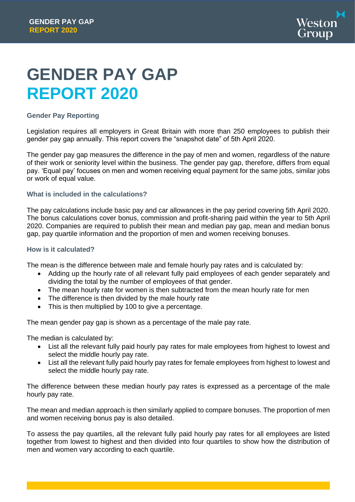

# **GENDER PAY GAP REPORT 2020**

# **Gender Pay Reporting**

Legislation requires all employers in Great Britain with more than 250 employees to publish their gender pay gap annually. This report covers the "snapshot date" of 5th April 2020.

The gender pay gap measures the difference in the pay of men and women, regardless of the nature of their work or seniority level within the business. The gender pay gap, therefore, differs from equal pay. 'Equal pay' focuses on men and women receiving equal payment for the same jobs, similar jobs or work of equal value.

# **What is included in the calculations?**

The pay calculations include basic pay and car allowances in the pay period covering 5th April 2020. The bonus calculations cover bonus, commission and profit-sharing paid within the year to 5th April 2020. Companies are required to publish their mean and median pay gap, mean and median bonus gap, pay quartile information and the proportion of men and women receiving bonuses.

# **How is it calculated?**

The mean is the difference between male and female hourly pay rates and is calculated by:

- Adding up the hourly rate of all relevant fully paid employees of each gender separately and dividing the total by the number of employees of that gender.
- The mean hourly rate for women is then subtracted from the mean hourly rate for men
- The difference is then divided by the male hourly rate
- This is then multiplied by 100 to give a percentage.

The mean gender pay gap is shown as a percentage of the male pay rate.

The median is calculated by:

- List all the relevant fully paid hourly pay rates for male employees from highest to lowest and select the middle hourly pay rate.
- List all the relevant fully paid hourly pay rates for female employees from highest to lowest and select the middle hourly pay rate.

The difference between these median hourly pay rates is expressed as a percentage of the male hourly pay rate.

The mean and median approach is then similarly applied to compare bonuses. The proportion of men and women receiving bonus pay is also detailed.

To assess the pay quartiles, all the relevant fully paid hourly pay rates for all employees are listed together from lowest to highest and then divided into four quartiles to show how the distribution of men and women vary according to each quartile.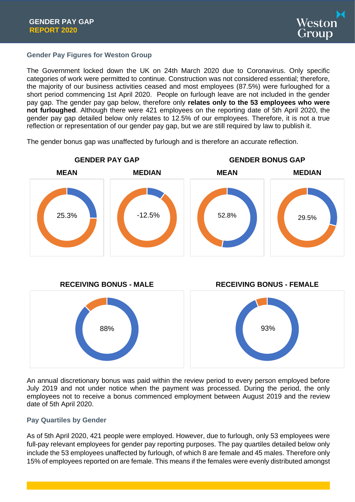

# **Gender Pay Figures for Weston Group**

The Government locked down the UK on 24th March 2020 due to Coronavirus. Only specific categories of work were permitted to continue. Construction was not considered essential; therefore, the majority of our business activities ceased and most employees (87.5%) were furloughed for a short period commencing 1st April 2020. People on furlough leave are not included in the gender pay gap. The gender pay gap below, therefore only **relates only to the 53 employees who were not furloughed**. Although there were 421 employees on the reporting date of 5th April 2020, the gender pay gap detailed below only relates to 12.5% of our employees. Therefore, it is not a true reflection or representation of our gender pay gap, but we are still required by law to publish it.

The gender bonus gap was unaffected by furlough and is therefore an accurate reflection.



An annual discretionary bonus was paid within the review period to every person employed before July 2019 and not under notice when the payment was processed. During the period, the only employees not to receive a bonus commenced employment between August 2019 and the review date of 5th April 2020.

# **Pay Quartiles by Gender**

As of 5th April 2020, 421 people were employed. However, due to furlough, only 53 employees were full-pay relevant employees for gender pay reporting purposes. The pay quartiles detailed below only include the 53 employees unaffected by furlough, of which 8 are female and 45 males. Therefore only 15% of employees reported on are female. This means if the females were evenly distributed amongst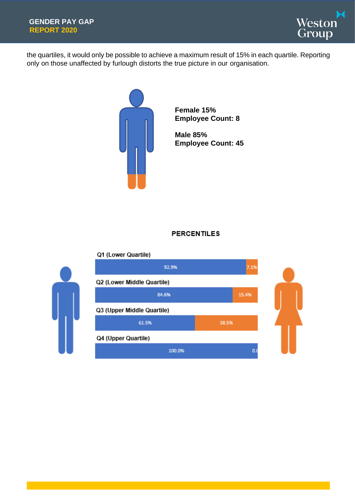

the quartiles, it would only be possible to achieve a maximum result of 15% in each quartile. Reporting only on those unaffected by furlough distorts the true picture in our organisation.



**Female 15% Employee Count: 8**

**Male 85% Employee Count: 45**

# **PERCENTILES**

#### Q1 (Lower Quartile)

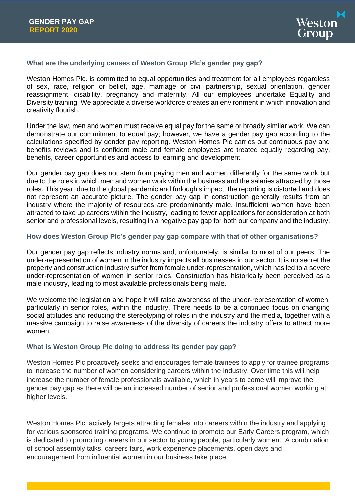

# **What are the underlying causes of Weston Group Plc's gender pay gap?**

Weston Homes Plc. is committed to equal opportunities and treatment for all employees regardless of sex, race, religion or belief, age, marriage or civil partnership, sexual orientation, gender reassignment, disability, pregnancy and maternity. All our employees undertake Equality and Diversity training. We appreciate a diverse workforce creates an environment in which innovation and creativity flourish.

Under the law, men and women must receive equal pay for the same or broadly similar work. We can demonstrate our commitment to equal pay; however, we have a gender pay gap according to the calculations specified by gender pay reporting. Weston Homes Plc carries out continuous pay and benefits reviews and is confident male and female employees are treated equally regarding pay, benefits, career opportunities and access to learning and development.

Our gender pay gap does not stem from paying men and women differently for the same work but due to the roles in which men and women work within the business and the salaries attracted by those roles. This year, due to the global pandemic and furlough's impact, the reporting is distorted and does not represent an accurate picture. The gender pay gap in construction generally results from an industry where the majority of resources are predominantly male. Insufficient women have been attracted to take up careers within the industry, leading to fewer applications for consideration at both senior and professional levels, resulting in a negative pay gap for both our company and the industry.

# **How does Weston Group Plc's gender pay gap compare with that of other organisations?**

Our gender pay gap reflects industry norms and, unfortunately, is similar to most of our peers. The under-representation of women in the industry impacts all businesses in our sector. It is no secret the property and construction industry suffer from female under-representation, which has led to a severe under-representation of women in senior roles. Construction has historically been perceived as a male industry, leading to most available professionals being male.

We welcome the legislation and hope it will raise awareness of the under-representation of women, particularly in senior roles, within the industry. There needs to be a continued focus on changing social attitudes and reducing the stereotyping of roles in the industry and the media, together with a massive campaign to raise awareness of the diversity of careers the industry offers to attract more women.

# **What is Weston Group Plc doing to address its gender pay gap?**

Weston Homes Plc proactively seeks and encourages female trainees to apply for trainee programs to increase the number of women considering careers within the industry. Over time this will help increase the number of female professionals available, which in years to come will improve the gender pay gap as there will be an increased number of senior and professional women working at higher levels.

Weston Homes Plc. actively targets attracting females into careers within the industry and applying for various sponsored training programs. We continue to promote our Early Careers program, which is dedicated to promoting careers in our sector to young people, particularly women. A combination of school assembly talks, careers fairs, work experience placements, open days and encouragement from influential women in our business take place.